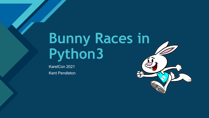# **Bunny Races in Python3**

KarelCon 2021 Kent Pendleton

**Click to edit Master title style**

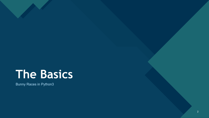# **The Basics**

**Click to edit Master title style**

Bunny Races in Python3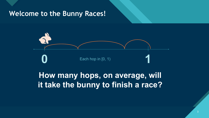## Welcome to the Bunny Races!



## **How many hops, on average, will it take the bunny to finish a race?**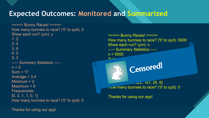## **Expected Outcomes: Monitored and Summarized**

===== Bunny Races! ===== How many bunnies to race? ('0' to quit): 5 Show each run? (y/n): y  $1: 2$  $2:4$ 3: 6 4: 2 5: 3 ----- Summary Statistics ----  $n = 5$  $Sum = 17$ Average  $= 3.4$ Minimum  $= 2$ Maximum = 6 Frequencies: [0, 2, 1, 1, 0, 1] How many bunnies to race? ('0' to quit): 0

Thanks for using our app!

===== Bunny Races! ===== How many bunnies to race? ('0' to quit): 5000 Show each run? (y/n): n ----- Summary Statistics ----  $n = 5000$  $C<sub>11</sub>$ 

Frequencies:  $\sim$  25, 25, 6] How many bunnies to race? ('0' to quit): 0

Censored!

Thanks for using our app!

Average = 2.7154

Minimum = 2

Maximum = 7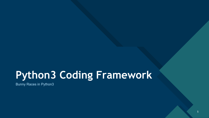## **Python3 Coding Framework**

Bunny Races in Python3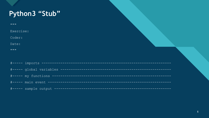## Python3 "Stub"

| <b>II II II</b>                              |  |  |
|----------------------------------------------|--|--|
| Exercise:                                    |  |  |
| Coder:                                       |  |  |
| Date:                                        |  |  |
| $\overline{M}$ $\overline{M}$ $\overline{M}$ |  |  |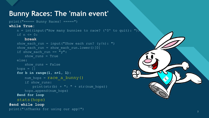## **Bunny Races: The 'main event'**

print("===== Bunny Races! =====")

#### **while True:**

 $n = int(input("How many bunnies to race? ('0' to quit): '')$ if  $n \leq 0$ :

#### **break**

```
show each run = input("Show each run? (y/n): ")
   show each run = show each run.lower()[0]if show each run == "y":
       show runs = Trueelse:
       show runs = False
   hops = \lceil \rceilfor b in range(1, n+1, 1): 
       num hops = race a bunny()
       if show_runs: 
           print(str(b) + ": " + str(num hops))
       hops.append(num hops)
   #end for loop
   stats(hops)
#end while loop
print("\nThanks for using our app!")
```
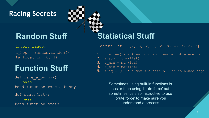## **Racing Secrets CLICK 34**

#### import random

a hop =  $r$ andom.random()  $#a$  float in  $[0, 1)$ 

## **Function Stuff**

def race a bunny(): pass #end function race\_a\_bunny

#### def stats(lst):

pass #end function stats

## **Random Stuff Statistical Stuff**

Given:  $1st = [2, 3, 2, 7, 2, 9, 4, 3, 2, 3]$ 

- 1. n = len(lst) #len function: number of elements 2.  $a$  sum = sum(list)
- 3. a min =  $min(1st)$
- 4. a max = max(lst)
- 5. freq =  $[0]$  \* a max # create a list to house hops!

Sometimes using built-in functions is easier than using 'brute force' but sometimes it's also instructive to use 'brute force' to make sure you understand a process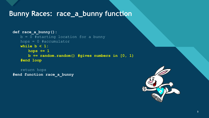### Bunny Races: race\_a\_bunny function

**def race\_a\_bunny():**  $b = 0$  #starting location for a bunny hops = 0 #accumulator **while b < 1: hops += 1 b += random.random() #gives numbers in [0, 1) #end loop**

return hops **#end function race\_a\_bunny**

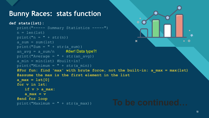## **Bunny Races: stats function**

```
\bulletdef stats(lst):
   print("----- Summary Statistics -----")
   n = len(lst)print("n = " + str(n))
                                                      \boldsymbol{\mathsf{x}}\bullet 0
   a sum = sum(lst)
   prime("Sum = " + str(a sum))#dwr! Data type?!
   print("Average = " + str(an avg))
   a min = min(lst) #built-in!
   print("Minimum = " + str(a min))
   #For fun: find 'max' with brute force, not the built-in: a_max = max(lst) 
   #assume the max is the first element in the list
   a_max = lst[0]
   for v in lst:
      if v > a max:amax = v#end for loop
   print("Maximum = " + str(a_max)) To be continued
```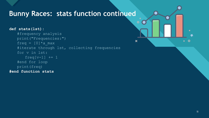## **Bunny Races: stats function continued**

 $\bullet$ 

 $\mathbf x$ 

#### **def stats(lst):**

```
#frequency analysis
   print("Frequencies:")
   freq = [0]*a max
   #iterate through lst, collecting frequencies
   for v in lst:
      freq[v-1] += 1#end for loop
   print(freq)
#end function stats
```
11

 $\bullet$  0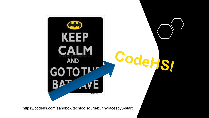

<https://codehs.com/sandbox/techtoolsguru/bunnyracespy3-start>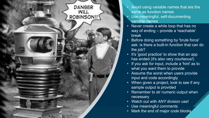<span id="page-12-0"></span>

- Avoid using variable names that are the same as function names
- Use meaningful, self-documenting variable names
- Never create a while loop that has no way of ending – provide a 'reachable' break
- Before doing something by 'brute force' ask: is there a built-in function that can do the job?
- It's 'good practice' to show that an app has ended (it's also very courteous!)
- If you ask for input, include a 'hint' as to what you want them to provide
- Assume the worst when users provide input and code accordingly
- When given a project, look to see if any sample output is provided
- Remember to str numeric output when necessary
- Watch out with *ANY* division use!
- Use meaningful comments
- Mark the end of major code blocks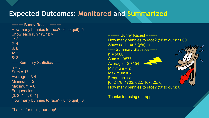## **Expected Outcomes: Monitored and Summarized**

===== Bunny Races! ===== How many bunnies to race? ('0' to quit): 5 Show each run? (y/n): y  $1: 2$  $2: 4$ 3: 6 4: 2 5: 3 ----- Summary Statistics ----  $n = 5$  $Sum = 17$ Average  $= 3.4$ Minimum  $= 2$ Maximum = 6 Frequencies:  $[0, 2, 1, 1, 0, 1]$ How many bunnies to race? ('0' to quit): 0

Thanks for using our app!

===== Bunny Races! ===== How many bunnies to race? ('0' to quit): 5000 Show each run? (y/n): n ----- Summary Statistics ----  $n = 5000$ Sum = 13577 Average = 2.7154 Minimum  $= 2$ Maximum = 7 Frequencies: [0, 2478, 1702, 622, 167, 25, 6] How many bunnies to race? ('0' to quit): 0

Thanks for using our app!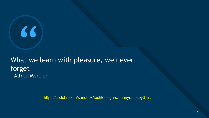# "

## What we learn with pleasure, we never forget - Alfred Mercier

<https://codehs.com/sandbox/techtoolsguru/bunnyracespy3-final>